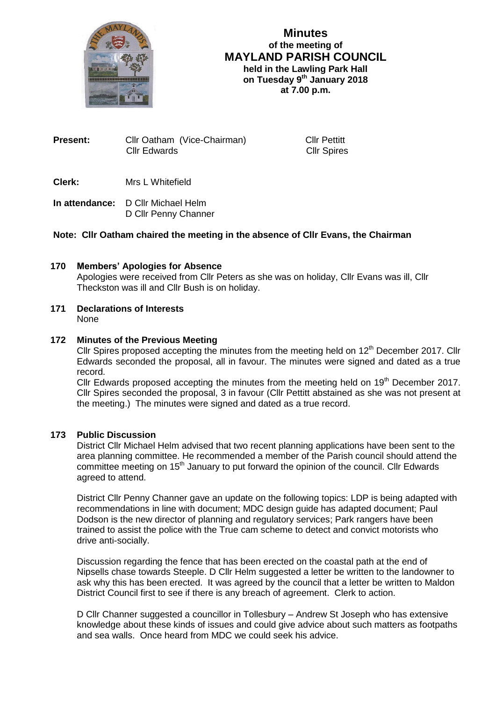

# **Minutes of the meeting of MAYLAND PARISH COUNCIL held in the Lawling Park Hall on Tuesday 9 th January 2018 at 7.00 p.m.**

| Present: |                     | Cllr Oatham (Vice-Chairman) |
|----------|---------------------|-----------------------------|
|          | <b>Cllr Edwards</b> |                             |

**Cllr Pettitt** Cllr Spires

**Clerk:** Mrs L Whitefield

**In attendance:** D Cllr Michael Helm D Cllr Penny Channer

# **Note: Cllr Oatham chaired the meeting in the absence of Cllr Evans, the Chairman**

# **170 Members' Apologies for Absence**

Apologies were received from Cllr Peters as she was on holiday, Cllr Evans was ill, Cllr Theckston was ill and Cllr Bush is on holiday.

**171 Declarations of Interests** None

# **172 Minutes of the Previous Meeting**

Cllr Spires proposed accepting the minutes from the meeting held on  $12<sup>th</sup>$  December 2017. Cllr Edwards seconded the proposal, all in favour. The minutes were signed and dated as a true record.

Cllr Edwards proposed accepting the minutes from the meeting held on 19<sup>th</sup> December 2017. Cllr Spires seconded the proposal, 3 in favour (Cllr Pettitt abstained as she was not present at the meeting.) The minutes were signed and dated as a true record.

# **173 Public Discussion**

District Cllr Michael Helm advised that two recent planning applications have been sent to the area planning committee. He recommended a member of the Parish council should attend the committee meeting on 15<sup>th</sup> January to put forward the opinion of the council. Cllr Edwards agreed to attend.

District Cllr Penny Channer gave an update on the following topics: LDP is being adapted with recommendations in line with document; MDC design guide has adapted document; Paul Dodson is the new director of planning and regulatory services; Park rangers have been trained to assist the police with the True cam scheme to detect and convict motorists who drive anti-socially.

Discussion regarding the fence that has been erected on the coastal path at the end of Nipsells chase towards Steeple. D Cllr Helm suggested a letter be written to the landowner to ask why this has been erected. It was agreed by the council that a letter be written to Maldon District Council first to see if there is any breach of agreement. Clerk to action.

D Cllr Channer suggested a councillor in Tollesbury – Andrew St Joseph who has extensive knowledge about these kinds of issues and could give advice about such matters as footpaths and sea walls. Once heard from MDC we could seek his advice.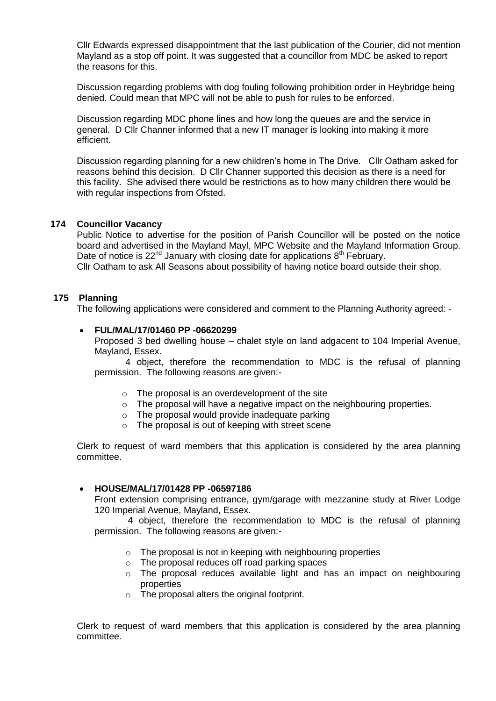Cllr Edwards expressed disappointment that the last publication of the Courier, did not mention Mayland as a stop off point. It was suggested that a councillor from MDC be asked to report the reasons for this.

Discussion regarding problems with dog fouling following prohibition order in Heybridge being denied. Could mean that MPC will not be able to push for rules to be enforced.

Discussion regarding MDC phone lines and how long the queues are and the service in general. D Cllr Channer informed that a new IT manager is looking into making it more efficient.

Discussion regarding planning for a new children's home in The Drive. Cllr Oatham asked for reasons behind this decision. D Cllr Channer supported this decision as there is a need for this facility. She advised there would be restrictions as to how many children there would be with regular inspections from Ofsted.

# **174 Councillor Vacancy**

Public Notice to advertise for the position of Parish Councillor will be posted on the notice board and advertised in the Mayland Mayl, MPC Website and the Mayland Information Group. Date of notice is  $22^{nd}$  January with closing date for applications  $8^{th}$  February. Cllr Oatham to ask All Seasons about possibility of having notice board outside their shop.

### **175 Planning**

The following applications were considered and comment to the Planning Authority agreed: -

### **FUL/MAL/17/01460 PP -06620299**

Proposed 3 bed dwelling house – chalet style on land adgacent to 104 Imperial Avenue, Mayland, Essex.

4 object, therefore the recommendation to MDC is the refusal of planning permission. The following reasons are given:-

- o The proposal is an overdevelopment of the site
- o The proposal will have a negative impact on the neighbouring properties.
- o The proposal would provide inadequate parking
- o The proposal is out of keeping with street scene

Clerk to request of ward members that this application is considered by the area planning committee.

### **HOUSE/MAL/17/01428 PP -06597186**

Front extension comprising entrance, gym/garage with mezzanine study at River Lodge 120 Imperial Avenue, Mayland, Essex.

4 object, therefore the recommendation to MDC is the refusal of planning permission. The following reasons are given:-

- $\circ$  The proposal is not in keeping with neighbouring properties
- o The proposal reduces off road parking spaces
- o The proposal reduces available light and has an impact on neighbouring properties
- o The proposal alters the original footprint.

Clerk to request of ward members that this application is considered by the area planning committee.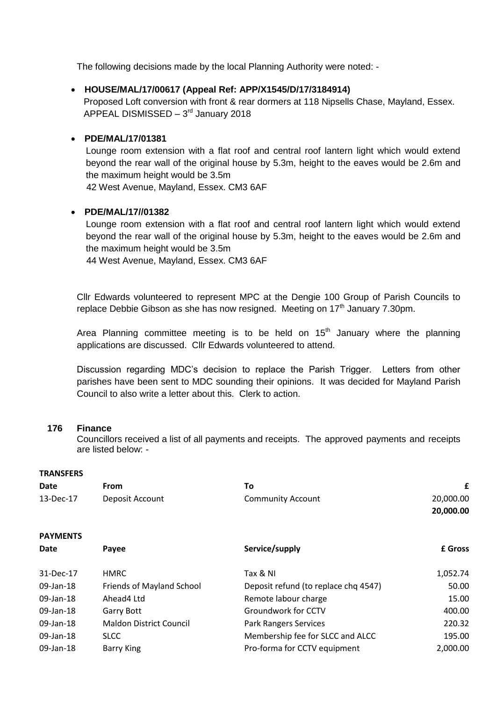The following decisions made by the local Planning Authority were noted: -

### **HOUSE/MAL/17/00617 (Appeal Ref: APP/X1545/D/17/3184914)**

 Proposed Loft conversion with front & rear dormers at 118 Nipsells Chase, Mayland, Essex. APPEAL DISMISSED - 3<sup>rd</sup> January 2018

### **PDE/MAL/17/01381**

Lounge room extension with a flat roof and central roof lantern light which would extend beyond the rear wall of the original house by 5.3m, height to the eaves would be 2.6m and the maximum height would be 3.5m 42 West Avenue, Mayland, Essex. CM3 6AF

# **PDE/MAL/17//01382**

Lounge room extension with a flat roof and central roof lantern light which would extend beyond the rear wall of the original house by 5.3m, height to the eaves would be 2.6m and the maximum height would be 3.5m

44 West Avenue, Mayland, Essex. CM3 6AF

Cllr Edwards volunteered to represent MPC at the Dengie 100 Group of Parish Councils to replace Debbie Gibson as she has now resigned. Meeting on  $17<sup>th</sup>$  January 7.30pm.

Area Planning committee meeting is to be held on  $15<sup>th</sup>$  January where the planning applications are discussed. Cllr Edwards volunteered to attend.

Discussion regarding MDC's decision to replace the Parish Trigger. Letters from other parishes have been sent to MDC sounding their opinions. It was decided for Mayland Parish Council to also write a letter about this. Clerk to action.

### **176 Finance**

Councillors received a list of all payments and receipts. The approved payments and receipts are listed below: -

# **TRANSFERS**

| <b>Date</b>     | <b>From</b>                    | To                                   | £         |
|-----------------|--------------------------------|--------------------------------------|-----------|
| 13-Dec-17       | Deposit Account                | <b>Community Account</b>             | 20,000.00 |
|                 |                                |                                      | 20,000.00 |
| <b>PAYMENTS</b> |                                |                                      |           |
| <b>Date</b>     | Payee                          | Service/supply                       | £ Gross   |
| 31-Dec-17       | <b>HMRC</b>                    | Tax & NI                             | 1,052.74  |
| 09-Jan-18       | Friends of Mayland School      | Deposit refund (to replace chq 4547) | 50.00     |
| 09-Jan-18       | Ahead4 Ltd                     | Remote labour charge                 | 15.00     |
| 09-Jan-18       | <b>Garry Bott</b>              | Groundwork for CCTV                  | 400.00    |
| 09-Jan-18       | <b>Maldon District Council</b> | <b>Park Rangers Services</b>         | 220.32    |
| 09-Jan-18       | <b>SLCC</b>                    | Membership fee for SLCC and ALCC     | 195.00    |
| 09-Jan-18       | <b>Barry King</b>              | Pro-forma for CCTV equipment         | 2,000.00  |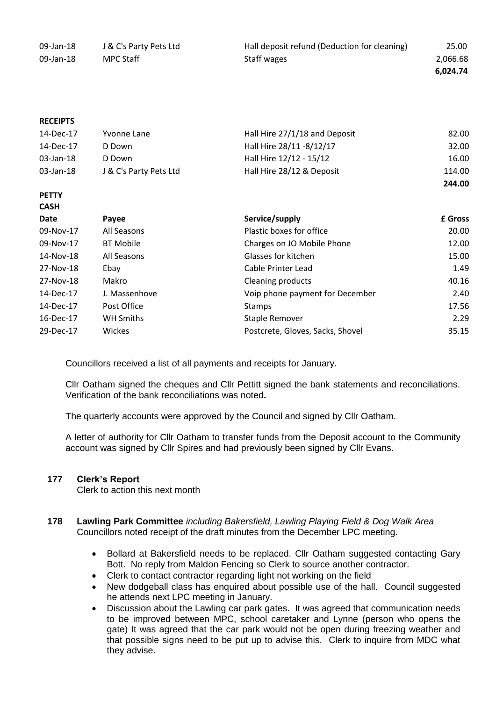| 09-Jan-18 | J & C's Party Pets Ltd | Hall deposit refund (Deduction for cleaning) | 25.00    |
|-----------|------------------------|----------------------------------------------|----------|
| 09-Jan-18 | MPC Staff              | Staff wages                                  | 2,066.68 |
|           |                        |                                              | 6,024.74 |
|           |                        |                                              |          |

### **RECEIPTS**

| 14-Dec-17 | Yvonne Lane            | Hall Hire 27/1/18 and Deposit | 82.00  |
|-----------|------------------------|-------------------------------|--------|
| 14-Dec-17 | D Down                 | Hall Hire 28/11 -8/12/17      | 32.00  |
| 03-Jan-18 | D Down                 | Hall Hire 12/12 - 15/12       | 16.00  |
| 03-Jan-18 | J & C's Party Pets Ltd | Hall Hire 28/12 & Deposit     | 114.00 |
|           |                        |                               | 244.00 |

#### **PETTY CASH**

| Date      | Payee            | Service/supply                   | £ Gross |
|-----------|------------------|----------------------------------|---------|
| 09-Nov-17 | All Seasons      | Plastic boxes for office         | 20.00   |
| 09-Nov-17 | <b>BT Mobile</b> | Charges on JO Mobile Phone       | 12.00   |
| 14-Nov-18 | All Seasons      | Glasses for kitchen              | 15.00   |
| 27-Nov-18 | Ebay             | Cable Printer Lead               | 1.49    |
| 27-Nov-18 | Makro            | <b>Cleaning products</b>         | 40.16   |
| 14-Dec-17 | J. Massenhove    | Voip phone payment for December  | 2.40    |
| 14-Dec-17 | Post Office      | <b>Stamps</b>                    | 17.56   |
| 16-Dec-17 | WH Smiths        | Staple Remover                   | 2.29    |
| 29-Dec-17 | Wickes           | Postcrete, Gloves, Sacks, Shovel | 35.15   |

Councillors received a list of all payments and receipts for January.

Cllr Oatham signed the cheques and Cllr Pettitt signed the bank statements and reconciliations. Verification of the bank reconciliations was noted**.**

The quarterly accounts were approved by the Council and signed by Cllr Oatham.

A letter of authority for Cllr Oatham to transfer funds from the Deposit account to the Community account was signed by Cllr Spires and had previously been signed by Cllr Evans.

# **177 Clerk's Report**

Clerk to action this next month

# **178 Lawling Park Committee** *including Bakersfield, Lawling Playing Field & Dog Walk Area* Councillors noted receipt of the draft minutes from the December LPC meeting.

- Bollard at Bakersfield needs to be replaced. Cllr Oatham suggested contacting Gary Bott. No reply from Maldon Fencing so Clerk to source another contractor.
- Clerk to contact contractor regarding light not working on the field
- New dodgeball class has enquired about possible use of the hall. Council suggested he attends next LPC meeting in January.
- Discussion about the Lawling car park gates. It was agreed that communication needs to be improved between MPC, school caretaker and Lynne (person who opens the gate) It was agreed that the car park would not be open during freezing weather and that possible signs need to be put up to advise this. Clerk to inquire from MDC what they advise.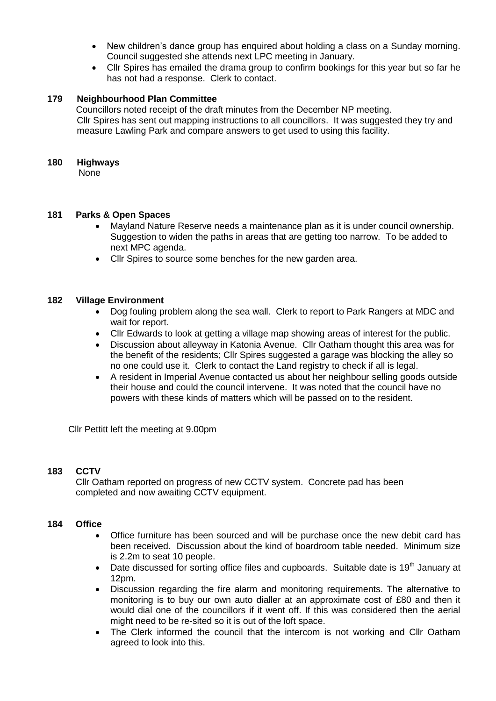- New children's dance group has enquired about holding a class on a Sunday morning. Council suggested she attends next LPC meeting in January.
- Cllr Spires has emailed the drama group to confirm bookings for this year but so far he has not had a response. Clerk to contact.

# **179 Neighbourhood Plan Committee**

 Councillors noted receipt of the draft minutes from the December NP meeting. Cllr Spires has sent out mapping instructions to all councillors. It was suggested they try and measure Lawling Park and compare answers to get used to using this facility.

### **180 Highways**

None

# **181 Parks & Open Spaces**

- Mayland Nature Reserve needs a maintenance plan as it is under council ownership. Suggestion to widen the paths in areas that are getting too narrow. To be added to next MPC agenda.
- Cllr Spires to source some benches for the new garden area.

# **182 Village Environment**

- Dog fouling problem along the sea wall. Clerk to report to Park Rangers at MDC and wait for report.
- Cllr Edwards to look at getting a village map showing areas of interest for the public.
- Discussion about alleyway in Katonia Avenue. Cllr Oatham thought this area was for the benefit of the residents; Cllr Spires suggested a garage was blocking the alley so no one could use it. Clerk to contact the Land registry to check if all is legal.
- A resident in Imperial Avenue contacted us about her neighbour selling goods outside their house and could the council intervene. It was noted that the council have no powers with these kinds of matters which will be passed on to the resident.

Cllr Pettitt left the meeting at 9.00pm

# **183 CCTV**

Cllr Oatham reported on progress of new CCTV system. Concrete pad has been completed and now awaiting CCTV equipment.

# **184 Office**

- Office furniture has been sourced and will be purchase once the new debit card has been received. Discussion about the kind of boardroom table needed. Minimum size is 2.2m to seat 10 people.
- Date discussed for sorting office files and cupboards. Suitable date is  $19<sup>th</sup>$  January at 12pm.
- Discussion regarding the fire alarm and monitoring requirements. The alternative to monitoring is to buy our own auto dialler at an approximate cost of £80 and then it would dial one of the councillors if it went off. If this was considered then the aerial might need to be re-sited so it is out of the loft space.
- The Clerk informed the council that the intercom is not working and Cllr Oatham agreed to look into this.